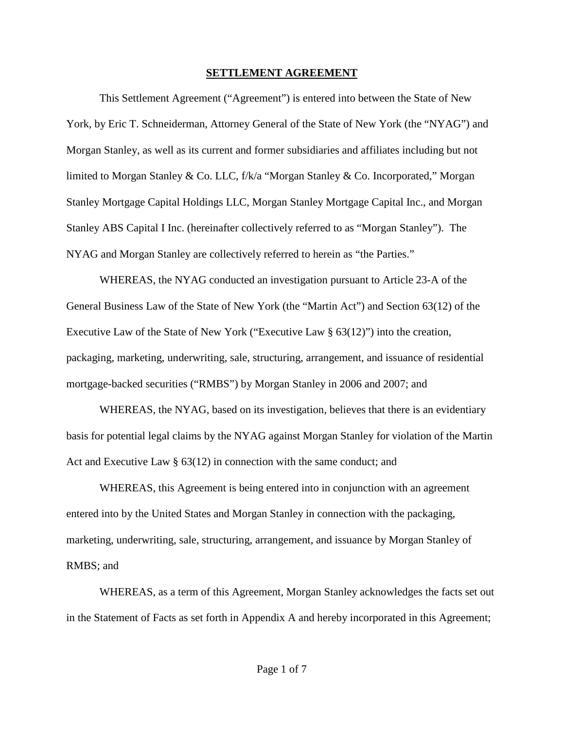## **SETTLEMENT AGREEMENT**

This Settlement Agreement ("Agreement") is entered into between the State of New York, by Eric T. Schneiderman, Attorney General of the State of New York (the "NYAG") and Morgan Stanley, as well as its current and former subsidiaries and affiliates including but not limited to Morgan Stanley & Co. LLC, f/k/a "Morgan Stanley & Co. Incorporated," Morgan Stanley Mortgage Capital Holdings LLC, Morgan Stanley Mortgage Capital Inc., and Morgan Stanley ABS Capital I Inc. (hereinafter collectively referred to as "Morgan Stanley"). The NYAG and Morgan Stanley are collectively referred to herein as "the Parties."

WHEREAS, the NYAG conducted an investigation pursuant to Article 23-A of the General Business Law of the State of New York (the "Martin Act") and Section 63(12) of the Executive Law of the State of New York ("Executive Law § 63(12)") into the creation, packaging, marketing, underwriting, sale, structuring, arrangement, and issuance of residential mortgage-backed securities ("RMBS") by Morgan Stanley in 2006 and 2007; and

WHEREAS, the NYAG, based on its investigation, believes that there is an evidentiary basis for potential legal claims by the NYAG against Morgan Stanley for violation of the Martin Act and Executive Law § 63(12) in connection with the same conduct; and

WHEREAS, this Agreement is being entered into in conjunction with an agreement entered into by the United States and Morgan Stanley in connection with the packaging, marketing, underwriting, sale, structuring, arrangement, and issuance by Morgan Stanley of RMBS; and

WHEREAS, as a term of this Agreement, Morgan Stanley acknowledges the facts set out in the Statement of Facts as set forth in Appendix A and hereby incorporated in this Agreement;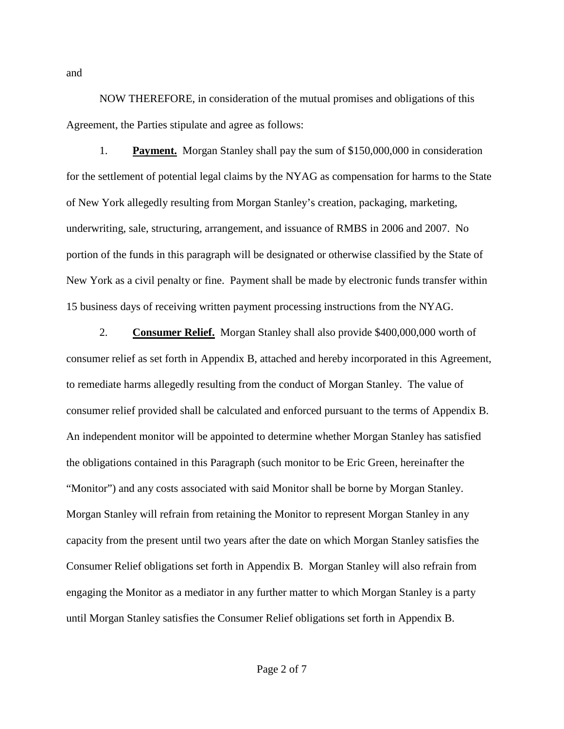NOW THEREFORE, in consideration of the mutual promises and obligations of this Agreement, the Parties stipulate and agree as follows:

1. **Payment.** Morgan Stanley shall pay the sum of \$150,000,000 in consideration for the settlement of potential legal claims by the NYAG as compensation for harms to the State of New York allegedly resulting from Morgan Stanley's creation, packaging, marketing, underwriting, sale, structuring, arrangement, and issuance of RMBS in 2006 and 2007. No portion of the funds in this paragraph will be designated or otherwise classified by the State of New York as a civil penalty or fine. Payment shall be made by electronic funds transfer within 15 business days of receiving written payment processing instructions from the NYAG.

2. **Consumer Relief.** Morgan Stanley shall also provide \$400,000,000 worth of consumer relief as set forth in Appendix B, attached and hereby incorporated in this Agreement, to remediate harms allegedly resulting from the conduct of Morgan Stanley. The value of consumer relief provided shall be calculated and enforced pursuant to the terms of Appendix B. An independent monitor will be appointed to determine whether Morgan Stanley has satisfied the obligations contained in this Paragraph (such monitor to be Eric Green, hereinafter the "Monitor") and any costs associated with said Monitor shall be borne by Morgan Stanley. Morgan Stanley will refrain from retaining the Monitor to represent Morgan Stanley in any capacity from the present until two years after the date on which Morgan Stanley satisfies the Consumer Relief obligations set forth in Appendix B. Morgan Stanley will also refrain from engaging the Monitor as a mediator in any further matter to which Morgan Stanley is a party until Morgan Stanley satisfies the Consumer Relief obligations set forth in Appendix B.

and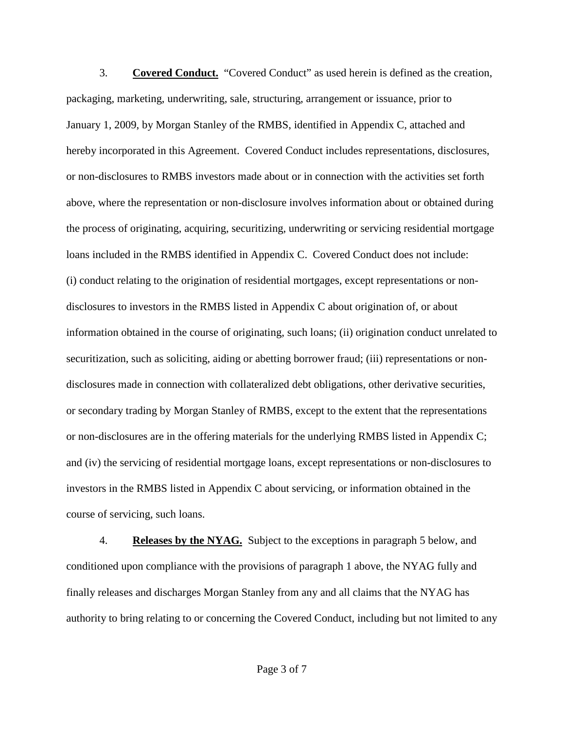3. **Covered Conduct.** "Covered Conduct" as used herein is defined as the creation, packaging, marketing, underwriting, sale, structuring, arrangement or issuance, prior to January 1, 2009, by Morgan Stanley of the RMBS, identified in Appendix C, attached and hereby incorporated in this Agreement. Covered Conduct includes representations, disclosures, or non-disclosures to RMBS investors made about or in connection with the activities set forth above, where the representation or non-disclosure involves information about or obtained during the process of originating, acquiring, securitizing, underwriting or servicing residential mortgage loans included in the RMBS identified in Appendix C. Covered Conduct does not include: (i) conduct relating to the origination of residential mortgages, except representations or nondisclosures to investors in the RMBS listed in Appendix C about origination of, or about information obtained in the course of originating, such loans; (ii) origination conduct unrelated to securitization, such as soliciting, aiding or abetting borrower fraud; (iii) representations or nondisclosures made in connection with collateralized debt obligations, other derivative securities, or secondary trading by Morgan Stanley of RMBS, except to the extent that the representations or non-disclosures are in the offering materials for the underlying RMBS listed in Appendix C; and (iv) the servicing of residential mortgage loans, except representations or non-disclosures to investors in the RMBS listed in Appendix C about servicing, or information obtained in the course of servicing, such loans.

4. **Releases by the NYAG.** Subject to the exceptions in paragraph 5 below, and conditioned upon compliance with the provisions of paragraph 1 above, the NYAG fully and finally releases and discharges Morgan Stanley from any and all claims that the NYAG has authority to bring relating to or concerning the Covered Conduct, including but not limited to any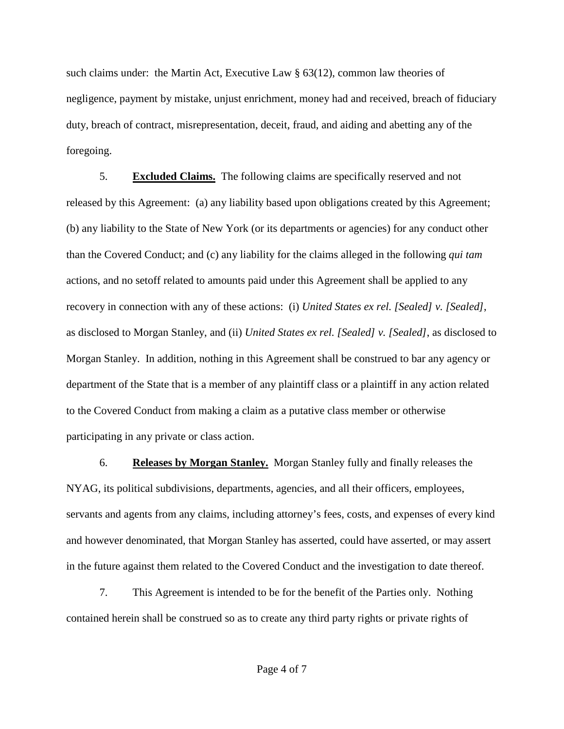such claims under: the Martin Act, Executive Law  $\S$  63(12), common law theories of negligence, payment by mistake, unjust enrichment, money had and received, breach of fiduciary duty, breach of contract, misrepresentation, deceit, fraud, and aiding and abetting any of the foregoing.

5. **Excluded Claims.** The following claims are specifically reserved and not released by this Agreement: (a) any liability based upon obligations created by this Agreement; (b) any liability to the State of New York (or its departments or agencies) for any conduct other than the Covered Conduct; and (c) any liability for the claims alleged in the following *qui tam* actions, and no setoff related to amounts paid under this Agreement shall be applied to any recovery in connection with any of these actions: (i) *United States ex rel. [Sealed] v. [Sealed]*, as disclosed to Morgan Stanley, and (ii) *United States ex rel. [Sealed] v. [Sealed]*, as disclosed to Morgan Stanley. In addition, nothing in this Agreement shall be construed to bar any agency or department of the State that is a member of any plaintiff class or a plaintiff in any action related to the Covered Conduct from making a claim as a putative class member or otherwise participating in any private or class action.

6. **Releases by Morgan Stanley.** Morgan Stanley fully and finally releases the NYAG, its political subdivisions, departments, agencies, and all their officers, employees, servants and agents from any claims, including attorney's fees, costs, and expenses of every kind and however denominated, that Morgan Stanley has asserted, could have asserted, or may assert in the future against them related to the Covered Conduct and the investigation to date thereof.

7. This Agreement is intended to be for the benefit of the Parties only. Nothing contained herein shall be construed so as to create any third party rights or private rights of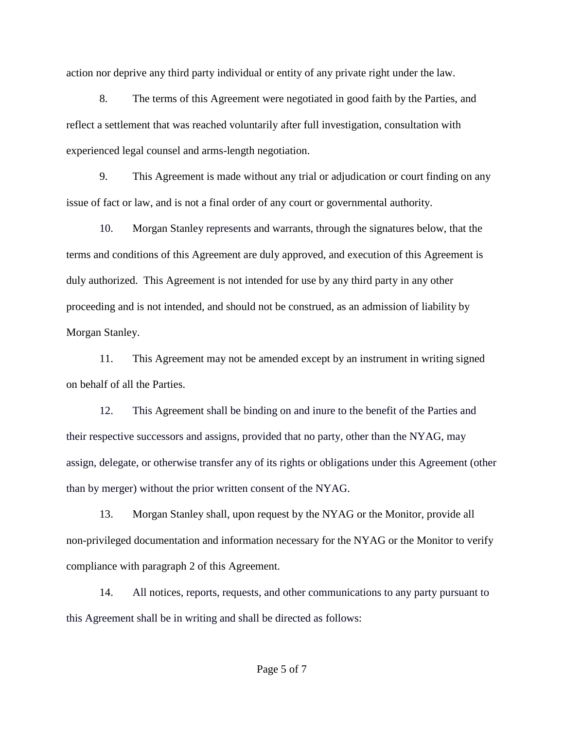action nor deprive any third party individual or entity of any private right under the law.

8. The terms of this Agreement were negotiated in good faith by the Parties, and reflect a settlement that was reached voluntarily after full investigation, consultation with experienced legal counsel and arms-length negotiation.

9. This Agreement is made without any trial or adjudication or court finding on any issue of fact or law, and is not a final order of any court or governmental authority.

10. Morgan Stanley represents and warrants, through the signatures below, that the terms and conditions of this Agreement are duly approved, and execution of this Agreement is duly authorized. This Agreement is not intended for use by any third party in any other proceeding and is not intended, and should not be construed, as an admission of liability by Morgan Stanley.

11. This Agreement may not be amended except by an instrument in writing signed on behalf of all the Parties.

12. This Agreement shall be binding on and inure to the benefit of the Parties and their respective successors and assigns, provided that no party, other than the NYAG, may assign, delegate, or otherwise transfer any of its rights or obligations under this Agreement (other than by merger) without the prior written consent of the NYAG.

13. Morgan Stanley shall, upon request by the NYAG or the Monitor, provide all non-privileged documentation and information necessary for the NYAG or the Monitor to verify compliance with paragraph 2 of this Agreement.

14. All notices, reports, requests, and other communications to any party pursuant to this Agreement shall be in writing and shall be directed as follows: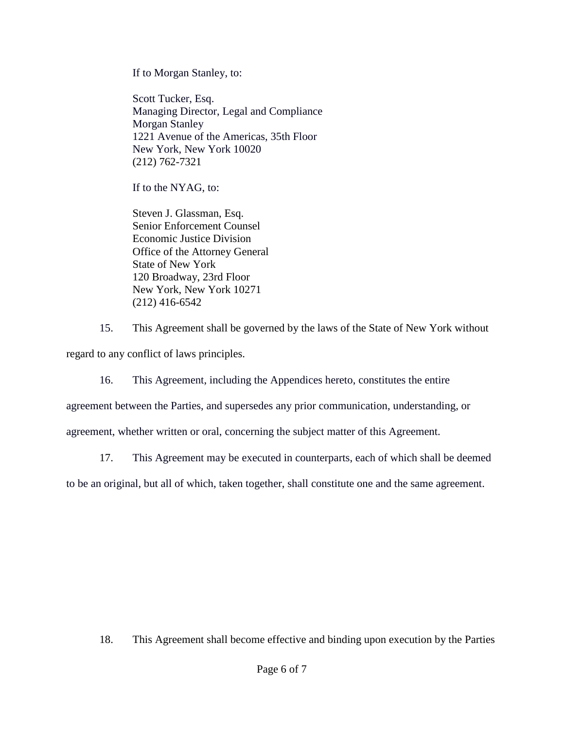If to Morgan Stanley, to:

Scott Tucker, Esq. Managing Director, Legal and Compliance Morgan Stanley 1221 Avenue of the Americas, 35th Floor New York, New York 10020 (212) 762-7321

If to the NYAG, to:

Steven J. Glassman, Esq. Senior Enforcement Counsel Economic Justice Division Office of the Attorney General State of New York 120 Broadway, 23rd Floor New York, New York 10271 (212) 416-6542

15. This Agreement shall be governed by the laws of the State of New York without regard to any conflict of laws principles.

16. This Agreement, including the Appendices hereto, constitutes the entire

agreement between the Parties, and supersedes any prior communication, understanding, or

agreement, whether written or oral, concerning the subject matter of this Agreement.

17. This Agreement may be executed in counterparts, each of which shall be deemed

to be an original, but all of which, taken together, shall constitute one and the same agreement.

18. This Agreement shall become effective and binding upon execution by the Parties